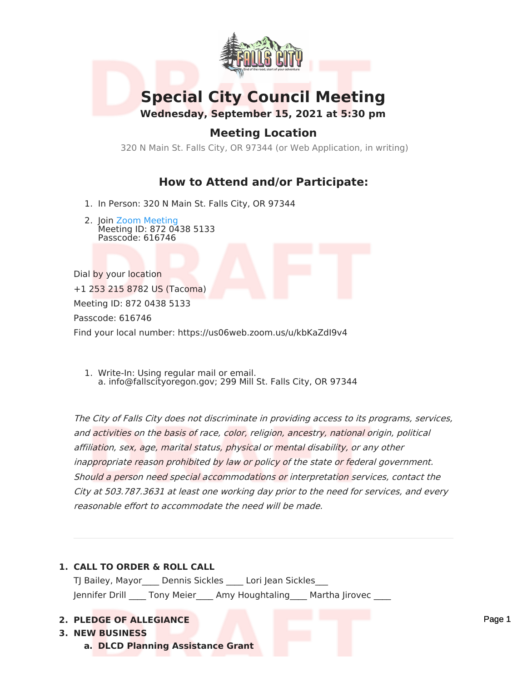

# **Special City Council Meeting**

**Wednesday, September 15, 2021 at 5:30 pm**

# **Meeting Location**

320 N Main St. Falls City, OR 97344 (or Web Application, in writing)

# **How to Attend and/or Participate:**

- 1. In Person: 320 N Main St. Falls City, OR 97344
- 2. Join Zoom [Meeting](https://us06web.zoom.us/j/87204385133?pwd=blJqK092aU5oLy90SkkrejB0eHNkUT09) Meeting ID: 872 0438 5133 Passcode: 616746

Dial by your location +1 253 215 8782 US (Tacoma) Meeting ID: 872 0438 5133 Passcode: 616746 Find your local number: https://us06web.zoom.us/u/kbKaZdI9v4

1. Write-In: Using regular mail or email. a. info@fallscityoregon.gov; 299 Mill St. Falls City, OR 97344

The City of Falls City does not discriminate in providing access to its programs, services, and activities on the basis of race, color, religion, ancestry, national origin, political affiliation, sex, age, marital status, physical or mental disability, or any other inappropriate reason prohibited by law or policy of the state or federal government. Should <sup>a</sup> person need special accommodations or interpretation services, contact the City at 503.787.3631 at least one working day prior to the need for services, and every reasonable effort to accommodate the need will be made.

# **1. CALL TO ORDER & ROLL CALL** TJ Bailey, Mayor Dennis Sickles Lori Jean Sickles Jennifer Drill \_\_\_\_ Tony Meier \_\_\_\_ Amy Houghtaling \_\_\_\_ Martha Jirovec \_\_\_ **2. PLEDGE OF ALLEGIANCE**

### **3. NEW BUSINESS**

**a. DLCD Planning Assistance Grant**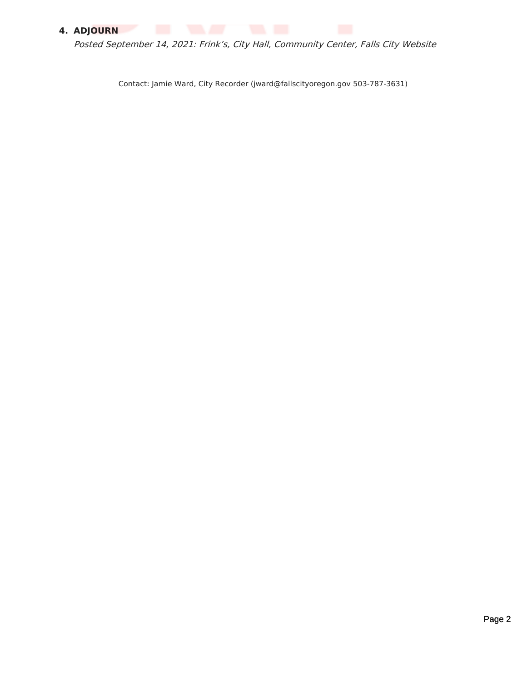# **4. ADJOURN**

Posted September 14, 2021: Frink's, City Hall, Community Center, Falls City Website

Contact: Jamie Ward, City Recorder (jward@fallscityoregon.gov 503-787-3631)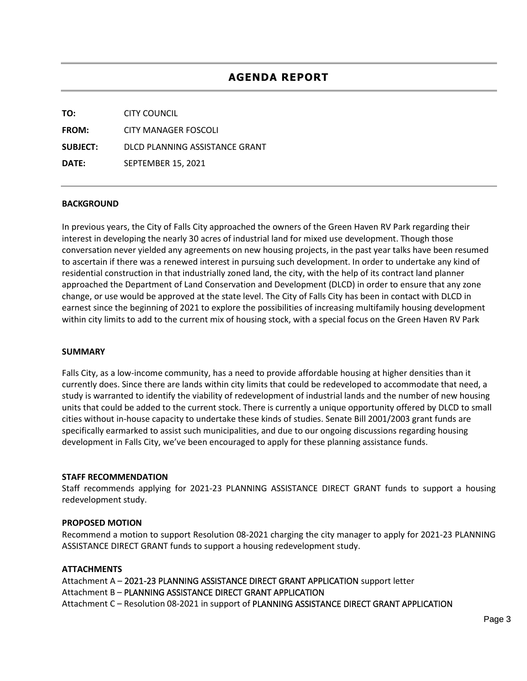| TO:             | CITY COUNCIL                   |
|-----------------|--------------------------------|
| <b>FROM:</b>    | CITY MANAGER FOSCOLI           |
| <b>SUBJECT:</b> | DLCD PLANNING ASSISTANCE GRANT |
| DATE:           | <b>SEPTEMBER 15, 2021</b>      |

### **BACKGROUND**

In previous years, the City of Falls City approached the owners of the Green Haven RV Park regarding their interest in developing the nearly 30 acres of industrial land for mixed use development. Though those conversation never yielded any agreements on new housing projects, in the past year talks have been resumed to ascertain if there was a renewed interest in pursuing such development. In order to undertake any kind of residential construction in that industrially zoned land, the city, with the help of its contract land planner approached the Department of Land Conservation and Development (DLCD) in order to ensure that any zone change, or use would be approved at the state level. The City of Falls City has been in contact with DLCD in earnest since the beginning of 2021 to explore the possibilities of increasing multifamily housing development within city limits to add to the current mix of housing stock, with a special focus on the Green Haven RV Park

#### **SUMMARY**

Falls City, as a low-income community, has a need to provide affordable housing at higher densities than it currently does. Since there are lands within city limits that could be redeveloped to accommodate that need, a study is warranted to identify the viability of redevelopment of industrial lands and the number of new housing units that could be added to the current stock. There is currently a unique opportunity offered by DLCD to small cities without in-house capacity to undertake these kinds of studies. Senate Bill 2001/2003 grant funds are specifically earmarked to assist such municipalities, and due to our ongoing discussions regarding housing development in Falls City, we've been encouraged to apply for these planning assistance funds.

#### **STAFF RECOMMENDATION**

Staff recommends applying for 2021-23 PLANNING ASSISTANCE DIRECT GRANT funds to support a housing redevelopment study.

#### **PROPOSED MOTION**

Recommend a motion to support Resolution 08-2021 charging the city manager to apply for 2021-23 PLANNING ASSISTANCE DIRECT GRANT funds to support a housing redevelopment study.

#### **ATTACHMENTS**

Attachment A – 2021-23 PLANNING ASSISTANCE DIRECT GRANT APPLICATION support letter Attachment B – PLANNING ASSISTANCE DIRECT GRANT APPLICATION Attachment C – Resolution 08-2021 in support of PLANNING ASSISTANCE DIRECT GRANT APPLICATION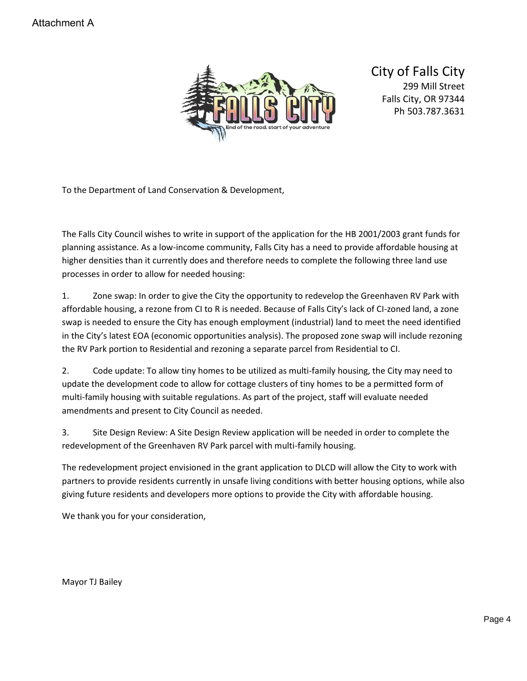

City of Falls City 299 Mill Street Falls City, OR 97344 Ph 503.787.3631

To the Department of Land Conservation & Development,

The Falls City Council wishes to write in support of the application for the HB 2001/2003 grant funds for planning assistance. As a low-income community, Falls City has a need to provide affordable housing at higher densities than it currently does and therefore needs to complete the following three land use processes in order to allow for needed housing:

1. Zone swap: In order to give the City the opportunity to redevelop the Greenhaven RV Park with affordable housing, a rezone from CI to R is needed. Because of Falls City's lack of CI-zoned land, a zone swap is needed to ensure the City has enough employment (industrial) land to meet the need identified in the City's latest EOA (economic opportunities analysis). The proposed zone swap will include rezoning the RV Park portion to Residential and rezoning a separate parcel from Residential to CI.

2. Code update: To allow tiny homes to be utilized as multi-family housing, the City may need to update the development code to allow for cottage clusters of tiny homes to be a permitted form of multi-family housing with suitable regulations. As part of the project, staff will evaluate needed amendments and present to City Council as needed.

3. Site Design Review: A Site Design Review application will be needed in order to complete the redevelopment of the Greenhaven RV Park parcel with multi-family housing.

The redevelopment project envisioned in the grant application to DLCD will allow the City to work with partners to provide residents currently in unsafe living conditions with better housing options, while also giving future residents and developers more options to provide the City with affordable housing.

We thank you for your consideration,

Mayor TJ Bailey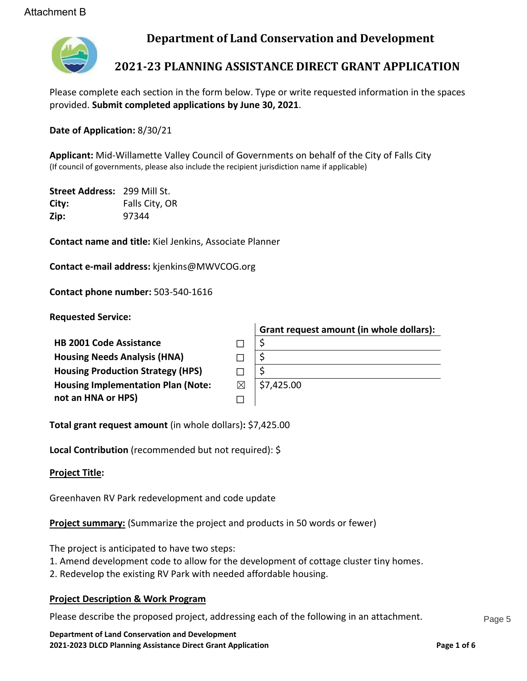

# **Department of Land Conservation and Development**

# **2021-23 PLANNING ASSISTANCE DIRECT GRANT APPLICATION**

Please complete each section in the form below. Type or write requested information in the spaces provided. **Submit completed applications by June 30, 2021**.

**Date of Application:** 8/30/21

**Applicant:** Mid-Willamette Valley Council of Governments on behalf of the City of Falls City (If council of governments, please also include the recipient jurisdiction name if applicable)

**Street Address:** 299 Mill St. **City:** Falls City, OR **Zip:** 97344

**Contact name and title:** Kiel Jenkins, Associate Planner

**Contact e-mail address:** kjenkins@MWVCOG.org

**Contact phone number:** 503-540-1616

**Requested Service:**

| Grant request amount (in whole dollars): |
|------------------------------------------|
|                                          |
|                                          |
| S                                        |
| \$7,425.00                               |
|                                          |
|                                          |

**Total grant request amount** (in whole dollars)**:** \$7,425.00

**Local Contribution** (recommended but not required): \$

**Project Title:**

Greenhaven RV Park redevelopment and code update

**Project summary:** (Summarize the project and products in 50 words or fewer)

The project is anticipated to have two steps:

- 1. Amend development code to allow for the development of cottage cluster tiny homes.
- 2. Redevelop the existing RV Park with needed affordable housing.

# **Project Description & Work Program**

Please describe the proposed project, addressing each of the following in an attachment.

**Department of Land Conservation and Development 2021-2023 DLCD Planning Assistance Direct Grant Application Page 1 of 6**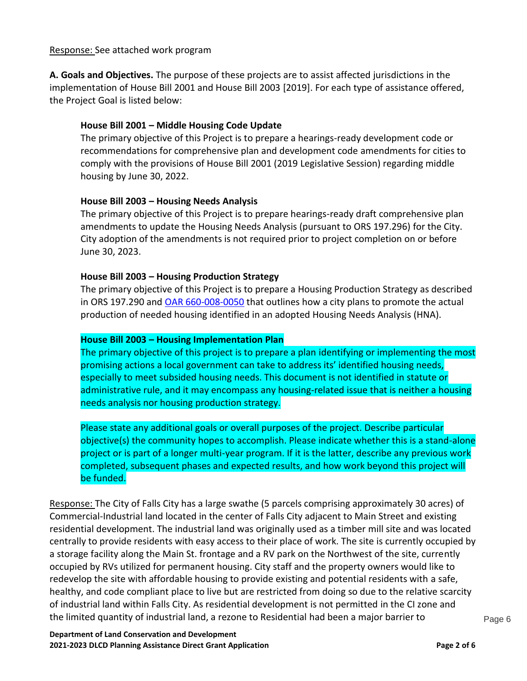### Response: See attached work program

**A. Goals and Objectives.** The purpose of these projects are to assist affected jurisdictions in the implementation of House Bill 2001 and House Bill 2003 [2019]. For each type of assistance offered, the Project Goal is listed below:

# **House Bill 2001 – Middle Housing Code Update**

The primary objective of this Project is to prepare a hearings-ready development code or recommendations for comprehensive plan and development code amendments for cities to comply with the provisions of House Bill 2001 (2019 Legislative Session) regarding middle housing by June 30, 2022.

### **House Bill 2003 – Housing Needs Analysis**

The primary objective of this Project is to prepare hearings-ready draft comprehensive plan amendments to update the Housing Needs Analysis (pursuant to ORS 197.296) for the City. City adoption of the amendments is not required prior to project completion on or before June 30, 2023.

### **House Bill 2003 – Housing Production Strategy**

The primary objective of this Project is to prepare a Housing Production Strategy as described in ORS 197.290 and [OAR 660-008-0050](https://secure.sos.state.or.us/oard/view.action?ruleNumber=660-008-0050) that outlines how a city plans to promote the actual production of needed housing identified in an adopted Housing Needs Analysis (HNA).

### **House Bill 2003 – Housing Implementation Plan**

The primary objective of this project is to prepare a plan identifying or implementing the most promising actions a local government can take to address its' identified housing needs, especially to meet subsided housing needs. This document is not identified in statute or administrative rule, and it may encompass any housing-related issue that is neither a housing needs analysis nor housing production strategy.

Please state any additional goals or overall purposes of the project. Describe particular objective(s) the community hopes to accomplish. Please indicate whether this is a stand-alone project or is part of a longer multi-year program. If it is the latter, describe any previous work completed, subsequent phases and expected results, and how work beyond this project will be funded.

Response: The City of Falls City has a large swathe (5 parcels comprising approximately 30 acres) of Commercial-Industrial land located in the center of Falls City adjacent to Main Street and existing residential development. The industrial land was originally used as a timber mill site and was located centrally to provide residents with easy access to their place of work. The site is currently occupied by a storage facility along the Main St. frontage and a RV park on the Northwest of the site, currently occupied by RVs utilized for permanent housing. City staff and the property owners would like to redevelop the site with affordable housing to provide existing and potential residents with a safe, healthy, and code compliant place to live but are restricted from doing so due to the relative scarcity of industrial land within Falls City. As residential development is not permitted in the CI zone and the limited quantity of industrial land, a rezone to Residential had been a major barrier to  $P_{\text{age }6}$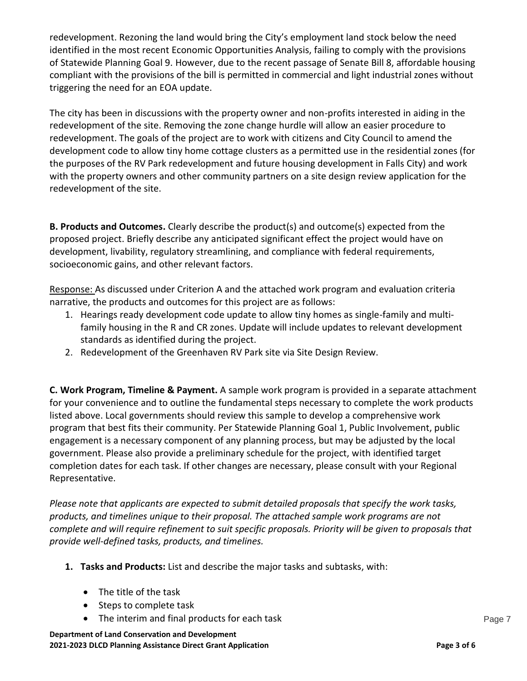redevelopment. Rezoning the land would bring the City's employment land stock below the need identified in the most recent Economic Opportunities Analysis, failing to comply with the provisions of Statewide Planning Goal 9. However, due to the recent passage of Senate Bill 8, affordable housing compliant with the provisions of the bill is permitted in commercial and light industrial zones without triggering the need for an EOA update.

The city has been in discussions with the property owner and non-profits interested in aiding in the redevelopment of the site. Removing the zone change hurdle will allow an easier procedure to redevelopment. The goals of the project are to work with citizens and City Council to amend the development code to allow tiny home cottage clusters as a permitted use in the residential zones (for the purposes of the RV Park redevelopment and future housing development in Falls City) and work with the property owners and other community partners on a site design review application for the redevelopment of the site.

**B. Products and Outcomes.** Clearly describe the product(s) and outcome(s) expected from the proposed project. Briefly describe any anticipated significant effect the project would have on development, livability, regulatory streamlining, and compliance with federal requirements, socioeconomic gains, and other relevant factors.

Response: As discussed under Criterion A and the attached work program and evaluation criteria narrative, the products and outcomes for this project are as follows:

- 1. Hearings ready development code update to allow tiny homes as single-family and multifamily housing in the R and CR zones. Update will include updates to relevant development standards as identified during the project.
- 2. Redevelopment of the Greenhaven RV Park site via Site Design Review.

**C. Work Program, Timeline & Payment.** A sample work program is provided in a separate attachment for your convenience and to outline the fundamental steps necessary to complete the work products listed above. Local governments should review this sample to develop a comprehensive work program that best fits their community. Per Statewide Planning Goal 1, Public Involvement, public engagement is a necessary component of any planning process, but may be adjusted by the local government. Please also provide a preliminary schedule for the project, with identified target completion dates for each task. If other changes are necessary, please consult with your Regional Representative.

*Please note that applicants are expected to submit detailed proposals that specify the work tasks, products, and timelines unique to their proposal. The attached sample work programs are not complete and will require refinement to suit specific proposals. Priority will be given to proposals that provide well-defined tasks, products, and timelines.*

- **1. Tasks and Products:** List and describe the major tasks and subtasks, with:
	- The title of the task
	- Steps to complete task
	- The interim and final products for each task **Page 7** and the state Page 7

**Department of Land Conservation and Development 2021-2023 DLCD Planning Assistance Direct Grant Application Page 3 of 6**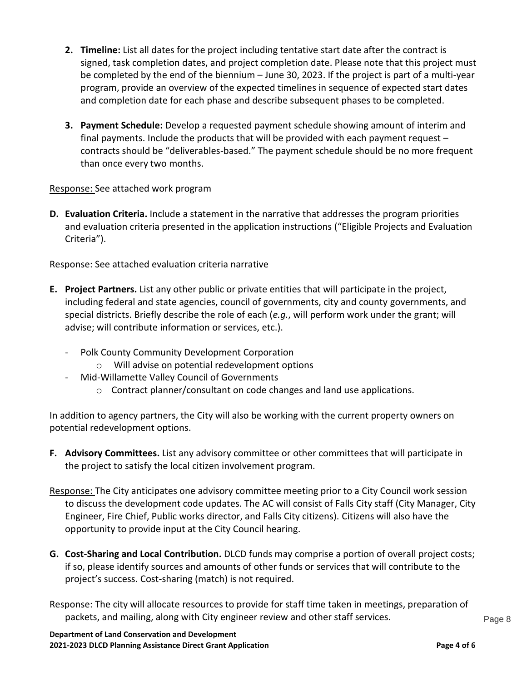- **2. Timeline:** List all dates for the project including tentative start date after the contract is signed, task completion dates, and project completion date. Please note that this project must be completed by the end of the biennium – June 30, 2023. If the project is part of a multi-year program, provide an overview of the expected timelines in sequence of expected start dates and completion date for each phase and describe subsequent phases to be completed.
- **3. Payment Schedule:** Develop a requested payment schedule showing amount of interim and final payments. Include the products that will be provided with each payment request – contracts should be "deliverables-based." The payment schedule should be no more frequent than once every two months.

Response: See attached work program

**D. Evaluation Criteria.** Include a statement in the narrative that addresses the program priorities and evaluation criteria presented in the application instructions ("Eligible Projects and Evaluation Criteria").

Response: See attached evaluation criteria narrative

- **E. Project Partners.** List any other public or private entities that will participate in the project, including federal and state agencies, council of governments, city and county governments, and special districts. Briefly describe the role of each (*e.g.*, will perform work under the grant; will advise; will contribute information or services, etc.).
	- Polk County Community Development Corporation
		- o Will advise on potential redevelopment options
	- Mid-Willamette Valley Council of Governments
		- o Contract planner/consultant on code changes and land use applications.

In addition to agency partners, the City will also be working with the current property owners on potential redevelopment options.

- **F. Advisory Committees.** List any advisory committee or other committees that will participate in the project to satisfy the local citizen involvement program.
- Response: The City anticipates one advisory committee meeting prior to a City Council work session to discuss the development code updates. The AC will consist of Falls City staff (City Manager, City Engineer, Fire Chief, Public works director, and Falls City citizens). Citizens will also have the opportunity to provide input at the City Council hearing.
- **G. Cost-Sharing and Local Contribution.** DLCD funds may comprise a portion of overall project costs; if so, please identify sources and amounts of other funds or services that will contribute to the project's success. Cost-sharing (match) is not required.
- Response: The city will allocate resources to provide for staff time taken in meetings, preparation of packets, and mailing, along with City engineer review and other staff services. Page 8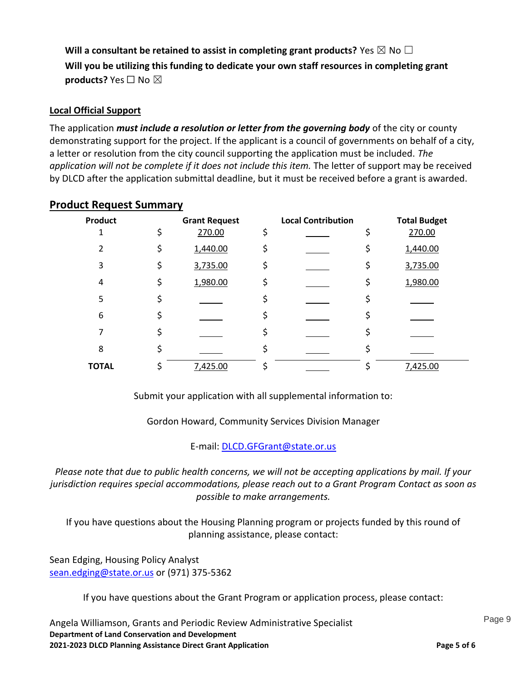**Will a consultant be retained to assist in completing grant products?** Yes  $\boxtimes$  No  $\Box$ **Will you be utilizing this funding to dedicate your own staff resources in completing grant products?** Yes □ No ⊠

# **Local Official Support**

The application *must include a resolution or letter from the governing body* of the city or county demonstrating support for the project. If the applicant is a council of governments on behalf of a city, a letter or resolution from the city council supporting the application must be included. *The application will not be complete if it does not include this item.* The letter of support may be received by DLCD after the application submittal deadline, but it must be received before a grant is awarded.

| <b>Product</b> | <b>Grant Request</b> | <b>Local Contribution</b> |    | <b>Total Budget</b> |
|----------------|----------------------|---------------------------|----|---------------------|
|                | \$<br>270.00         | \$                        | \$ | 270.00              |
| $\mathcal{P}$  | \$<br>1,440.00       | \$                        | \$ | 1,440.00            |
| 3              | \$<br>3,735.00       | \$                        | \$ | 3,735.00            |
| 4              | \$<br>1,980.00       | \$                        | \$ | 1,980.00            |
| 5              | \$                   |                           |    |                     |
| 6              | \$                   |                           |    |                     |
|                | \$                   | \$                        | c  |                     |
| 8              | \$                   |                           |    |                     |
| <b>TOTAL</b>   | \$<br>7,425.00       | \$                        |    | 7,425.00            |

### **Product Request Summary**

Submit your application with all supplemental information to:

Gordon Howard, Community Services Division Manager

E-mail[: DLCD.GFGrant@state.or.us](mailto:DLCD.GFGrant@state.or.us)

*Please note that due to public health concerns, we will not be accepting applications by mail. If your jurisdiction requires special accommodations, please reach out to a Grant Program Contact as soon as possible to make arrangements.*

If you have questions about the Housing Planning program or projects funded by this round of planning assistance, please contact:

Sean Edging, Housing Policy Analyst [sean.edging@state.or.us](mailto:sean.edging@state.or.us) or (971) 375-5362

If you have questions about the Grant Program or application process, please contact:

**Department of Land Conservation and Development 2021-2023 DLCD Planning Assistance Direct Grant Application Page 5 of 6** Angela Williamson, Grants and Periodic Review Administrative Specialist **Page 9** Page 9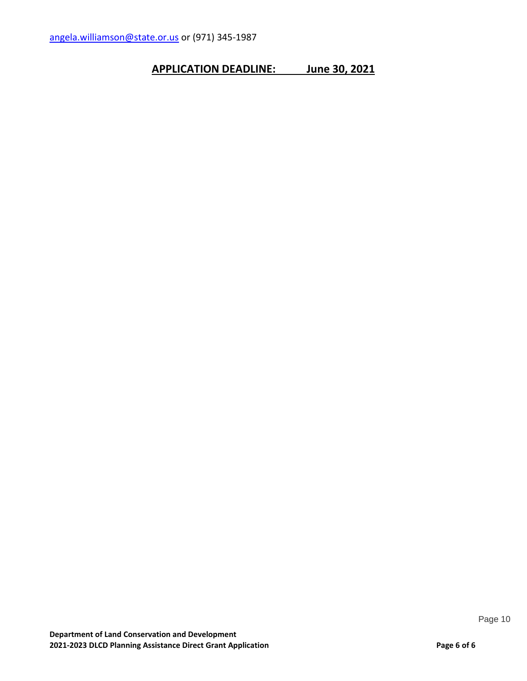# **APPLICATION DEADLINE: June 30, 2021**